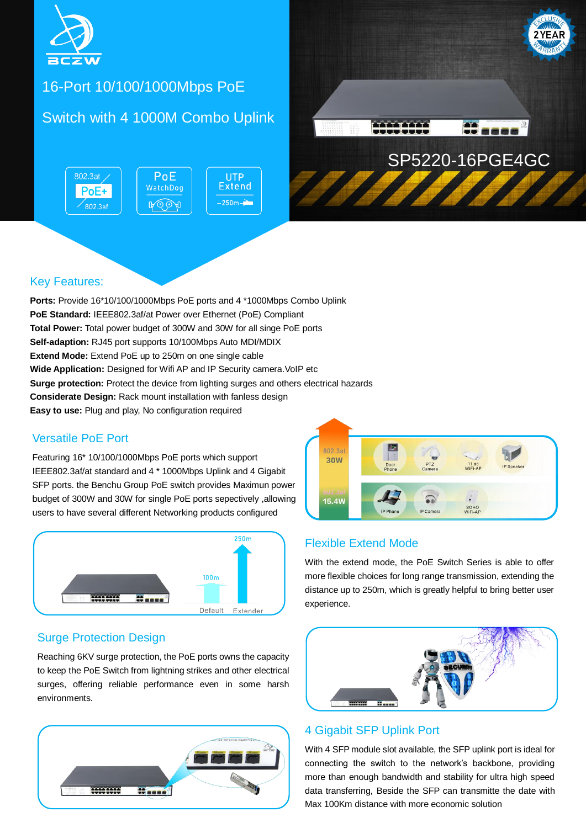

# 16-Port 10/100/1000Mbps PoE

## Switch with 4 1000M Combo Uplink

802.3at PoE **UTP Extend** WatchDog PoE+  $-250m -$ ROOA  $\overline{802.3}$ af



### Key Features:

**Ports:** Provide 16\*10/100/1000Mbps PoE ports and 4 \*1000Mbps Combo Uplink **PoE Standard:** IEEE802.3af/at Power over Ethernet (PoE) Compliant **Total Power:** Total power budget of 300W and 30W for all singe PoE ports **Self-adaption:** RJ45 port supports 10/100Mbps Auto MDI/MDIX **Extend Mode:** Extend PoE up to 250m on one single cable **Wide Application:** Designed for Wifi AP and IP Security camera. VoIP etc **Surge protection:** Protect the device from lighting surges and others electrical hazards **Considerate Design:** Rack mount installation with fanless design **Easy to use:** Plug and play, No configuration required

### Versatile PoE Port

Featuring 16\* 10/100/1000Mbps PoE ports which support IEEE802.3af/at standard and 4 \* 1000Mbps Uplink and 4 Gigabit SFP ports. the Benchu Group PoE switch provides Maximun power budget of 300W and 30W for single PoE ports sepectively ,allowing users to have several different Networking products configured



### Surge Protection Design

Reaching 6KV surge protection, the PoE ports owns the capacity to keep the PoE Switch from lightning strikes and other electrical surges, offering reliable performance even in some harsh environments.





### Flexible Extend Mode

With the extend mode, the PoE Switch Series is able to offer more flexible choices for long range transmission, extending the distance up to 250m, which is greatly helpful to bring better user experience.



### 4 Gigabit SFP Uplink Port

With 4 SFP module slot available, the SFP uplink port is ideal for connecting the switch to the network's backbone, providing more than enough bandwidth and stability for ultra high speed data transferring, Beside the SFP can transmitte the date with Max 100Km distance with more economic solution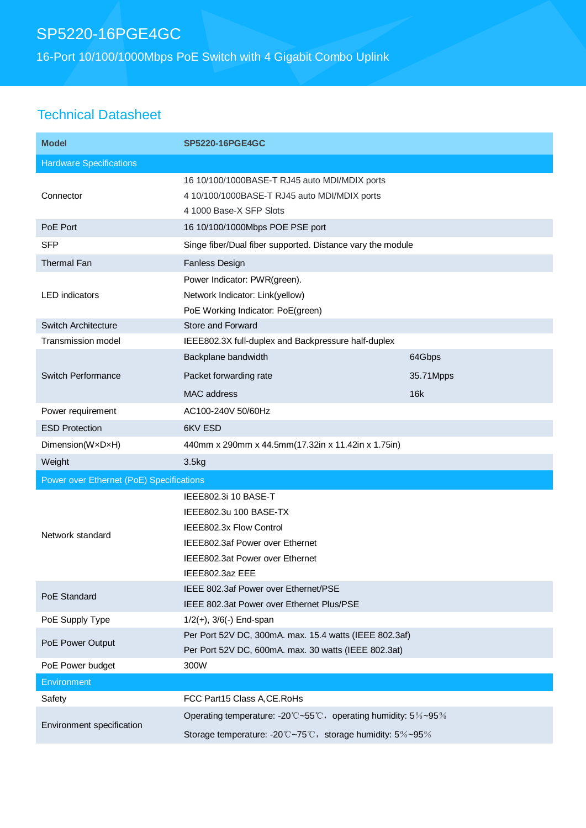## SP5220-16PGE4GC

16-Port 10/100/1000Mbps PoE Switch with 4 Gigabit Combo Uplink

### Technical Datasheet

| <b>Model</b>                             | <b>SP5220-16PGE4GC</b>                                                                                                                                             |           |  |
|------------------------------------------|--------------------------------------------------------------------------------------------------------------------------------------------------------------------|-----------|--|
| <b>Hardware Specifications</b>           |                                                                                                                                                                    |           |  |
| Connector                                | 16 10/100/1000BASE-T RJ45 auto MDI/MDIX ports<br>4 10/100/1000BASE-T RJ45 auto MDI/MDIX ports<br>4 1000 Base-X SFP Slots                                           |           |  |
| PoE Port                                 | 16 10/100/1000Mbps POE PSE port                                                                                                                                    |           |  |
| <b>SFP</b>                               | Singe fiber/Dual fiber supported. Distance vary the module                                                                                                         |           |  |
| Thermal Fan                              | <b>Fanless Design</b>                                                                                                                                              |           |  |
| <b>LED</b> indicators                    | Power Indicator: PWR(green).<br>Network Indicator: Link(yellow)<br>PoE Working Indicator: PoE(green)                                                               |           |  |
| <b>Switch Architecture</b>               | Store and Forward                                                                                                                                                  |           |  |
| <b>Transmission model</b>                | IEEE802.3X full-duplex and Backpressure half-duplex                                                                                                                |           |  |
| Switch Performance                       | Backplane bandwidth                                                                                                                                                | 64Gbps    |  |
|                                          | Packet forwarding rate                                                                                                                                             | 35.71Mpps |  |
|                                          | MAC address                                                                                                                                                        | 16k       |  |
| Power requirement                        | AC100-240V 50/60Hz                                                                                                                                                 |           |  |
| <b>ESD Protection</b>                    | 6KV ESD                                                                                                                                                            |           |  |
| Dimension(WxDxH)                         | 440mm x 290mm x 44.5mm(17.32in x 11.42in x 1.75in)                                                                                                                 |           |  |
| Weight                                   | 3.5kg                                                                                                                                                              |           |  |
| Power over Ethernet (PoE) Specifications |                                                                                                                                                                    |           |  |
| Network standard                         | IEEE802.3i 10 BASE-T<br>IEEE802.3u 100 BASE-TX<br>IEEE802.3x Flow Control<br>IEEE802.3af Power over Ethernet<br>IEEE802.3at Power over Ethernet<br>IEEE802.3az EEE |           |  |
| PoE Standard                             | IEEE 802.3af Power over Ethernet/PSE<br>IEEE 802.3at Power over Ethernet Plus/PSE                                                                                  |           |  |
| PoE Supply Type                          | $1/2(+)$ , $3/6(-)$ End-span                                                                                                                                       |           |  |
| PoE Power Output                         | Per Port 52V DC, 300mA. max. 15.4 watts (IEEE 802.3af)<br>Per Port 52V DC, 600mA. max. 30 watts (IEEE 802.3at)                                                     |           |  |
| PoE Power budget                         | 300W                                                                                                                                                               |           |  |
| Environment                              |                                                                                                                                                                    |           |  |
| Safety                                   | FCC Part15 Class A, CE. RoHs                                                                                                                                       |           |  |
| Environment specification                | Operating temperature: -20°C~55°C, operating humidity: 5%~95%<br>Storage temperature: -20°C~75°C, storage humidity: 5%~95%                                         |           |  |